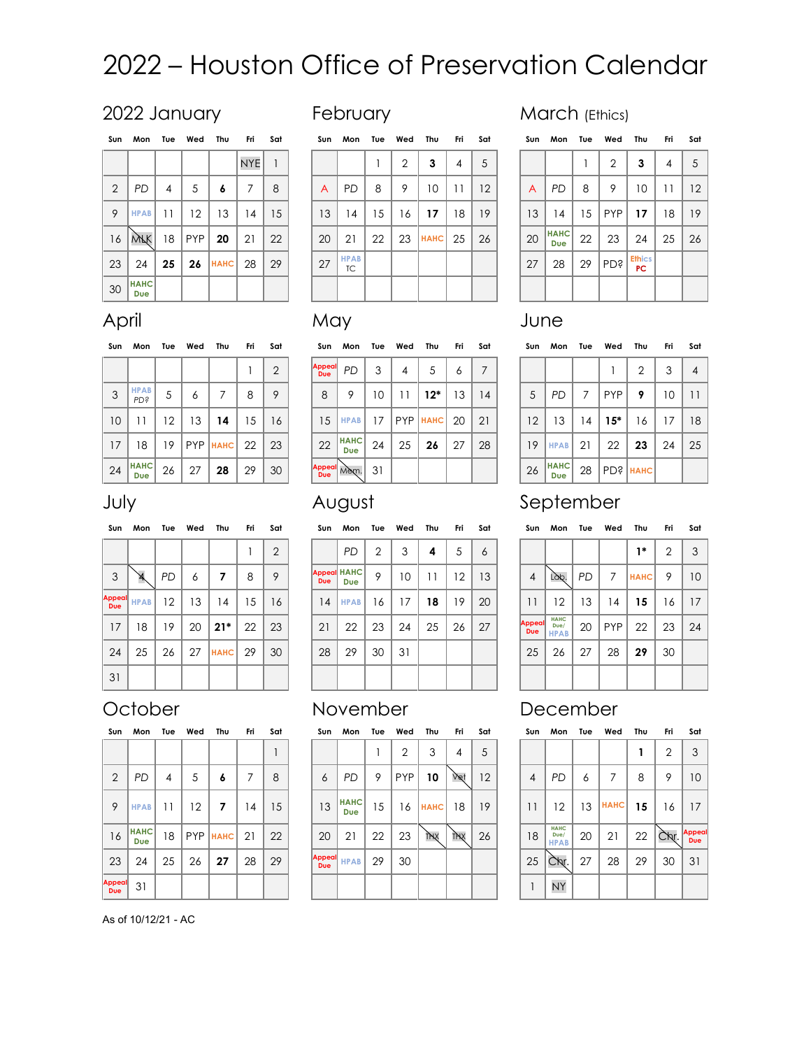# 2022 – Houston Office of Preservation Calendar

## 2022 January **February Heland March (Ethics)**

| Sun            | Mon                | Tue            | Wed Thu  |             | - Fri      | Sat | Sun | Mon               |
|----------------|--------------------|----------------|----------|-------------|------------|-----|-----|-------------------|
|                |                    |                |          |             | <b>NYE</b> | 1   |     |                   |
| $\overline{2}$ | <b>PD</b>          | $\overline{4}$ | 5        | 6           | 7          | 8   | A   | PD                |
| 9              | <b>HPAB</b>        | 11             | 12       | 13          | 14         | 15  | 13  | 14                |
| 16             | WЯК                |                | 18   PYP | 20          | 21         | 22  | 20  | 21                |
| 23             | 24                 | 25             | 26       | <b>HAHC</b> | 28         | 29  | 27  | <b>HPAB</b><br>TC |
| 30             | <b>HAHC</b><br>Due |                |          |             |            |     |     |                   |

| Sun | Mon                | Tue | Wed | Thu         | Fri             | Sat | Sun | Mon               | Tue | Wed | Thu          | Fri | Sat | Sun | Mon                       | Tue | Wed | Thu                        | Fri             | Sat |
|-----|--------------------|-----|-----|-------------|-----------------|-----|-----|-------------------|-----|-----|--------------|-----|-----|-----|---------------------------|-----|-----|----------------------------|-----------------|-----|
|     |                    |     |     |             | NYE <sup></sup> |     |     |                   |     | 2   | 3            | 4   | .5  |     |                           |     | 2   | 3                          | 4               | 5   |
| 2   | <b>PD</b>          | 4   | 5   | 6           |                 | 8   | A   | <b>PD</b>         | 8   | 9   | 10           | 11  | 12  | A   | <b>PD</b>                 | 8   | 9   | 10                         | $\overline{11}$ | 12  |
| 9   | <b>HPAB</b>        | 11  | 12  | 13          | 14              | 15  | 13  | 14                | 15  | 16  | 17           | 18  | 19  | 13  | 14                        | 15  | PYP | 17                         | 18              | 19  |
| 16  | <b>VYFK</b>        | 18  | PYP | 20          | 21              | 22  | 20  | 21                | 22  | 23  | $H A H C$ 25 |     | 26  | 20  | <b>HAHC</b><br><b>Due</b> | 22  | 23  | 24                         | 25              | 26  |
| 23  | 24                 | 25  | 26  | <b>HAHC</b> | 28              | 29  | 27  | <b>HPAB</b><br>TC |     |     |              |     |     | 27  | 28                        | 29  | PD? | <b>Ethics</b><br><b>PC</b> |                 |     |
| 30  | <b>HAHC</b><br>Due |     |     |             |                 |     |     |                   |     |     |              |     |     |     |                           |     |     |                            |                 |     |

| Sun | Mon                       | Tue | Wed            | Thu                 | Fri            | Sat |
|-----|---------------------------|-----|----------------|---------------------|----------------|-----|
|     |                           |     | $\overline{2}$ | 3                   | $\overline{4}$ | 5   |
| A   | <b>PD</b>                 | 8   | 9              | 10                  | 11             | 12  |
| 13  | 14                        | 15  | <b>PYP</b>     | 17                  | 18             | 19  |
| 20  | <b>HAHC</b><br><b>Due</b> | 22  | 23             | 24                  | 25             | 26  |
| 27  | 28                        | 29  | <b>PD?</b>     | <b>Ethics</b><br>PC |                |     |
|     |                           |     |                |                     |                |     |

| Sun            | Mon                       | Tue | Wed        | Thu         | Fri | Sat | Sun                         | Mon                |
|----------------|---------------------------|-----|------------|-------------|-----|-----|-----------------------------|--------------------|
|                |                           |     |            |             |     | 2   | <b>Appeal</b><br><b>Due</b> | PD                 |
| $\mathfrak{Z}$ | <b>HPAB</b><br>PD?        | 5   | 6          | 7           | 8   | 9   | 8                           | 9                  |
| 10             | 11                        | 12  | 13         | 14          | 15  | 16  | 15                          | <b>HPAB</b>        |
| 17             | 18                        | 19  | <b>PYP</b> | <b>HAHC</b> | 22  | 23  | 22                          | <b>HAHC</b><br>Due |
| 24             | <b>HAHC</b><br><b>Due</b> | 26  | 27         | 28          | 29  | 30  | <b>Appeal</b><br>Due        | Mèm.               |

| Sun             | Mon                | Tue     | Wed        | Thu         | Fri | Sat | Sun                  | Mon                | Tue | Wed   | Thu         | Fri | Sat | Sun | Mon                | Tue | Wed        | Thu         | Fri | Sat            |
|-----------------|--------------------|---------|------------|-------------|-----|-----|----------------------|--------------------|-----|-------|-------------|-----|-----|-----|--------------------|-----|------------|-------------|-----|----------------|
|                 |                    |         |            |             |     | ⌒   | <b>Appeal</b><br>Due | <b>PD</b>          | 3   | 4     | 5           | O   |     |     |                    |     |            | っ           | 3   | $\overline{4}$ |
| $\mathfrak{Z}$  | <b>HPAB</b><br>PD? | 5       | Ô          |             | 8   | 9   | 8                    | 9                  | 10  |       | $12*$       | 13  | 14  | 5   | PD                 | 7   | <b>PYP</b> | 9           | 10  | 11             |
| 10 <sup>°</sup> | 11                 | $12 \,$ | 13         | 14          | 15  | 16  | 15                   | <b>HPAB</b>        | 17  | PYP I | <b>HAHC</b> | -20 | 21  | 12  | 13                 | 14  | $15^*$     | 16          | 17  | 18             |
| 17              | 8                  | 19      | <b>PYP</b> | <b>HAHC</b> | 22  | 23  | 22                   | <b>HAHC</b><br>Due | 24  | 25    | 26          | 27  | 28  | 19  | <b>HPAB</b>        | 21  | 22         | 23          | 24  | 25             |
| 24              | <b>HAHC</b><br>Due | 26      | 27         | 28          | 29  | 30  | Appeal Mem.          |                    | 31  |       |             |     |     | 26  | <b>HAHC</b><br>Due | 28  | PD?        | <b>HAHC</b> |     |                |

| Sun        | Mon                       | Tue               | Wed | Thu         | Fri | Sat                | Sun        | Mon                              | Tue | Wed | Thu | Fri | Sat | Sun                  | Mon                                | Tue       | Wed        | Thu         | Fri | Sat |
|------------|---------------------------|-------------------|-----|-------------|-----|--------------------|------------|----------------------------------|-----|-----|-----|-----|-----|----------------------|------------------------------------|-----------|------------|-------------|-----|-----|
|            |                           |                   |     |             |     | ◠<br>$\mathcal{L}$ |            | <b>PD</b>                        | 2   | 3   | 4   | 5   | 6   |                      |                                    |           |            | $1^*$       | ≘   | 3   |
| 3          | ¥,                        | <b>PD</b>         | 6   | 7           | 8   | 9                  | <b>Due</b> | <b>Appeal HAHC</b><br><b>Due</b> | 9   | 10  | 11  | 12  | 13  | $\overline{4}$       | Làb.                               | <b>PD</b> | 7          | <b>HAHC</b> | 9   | 10  |
| <b>Due</b> | ppeal <sub>. HPAB</sub> I | $12 \overline{ }$ | 13  | 14          | 15  | 16                 | 14         | <b>HPAB</b>                      | 16  | 17  | 18  | 19  | 20  | 11                   | 12                                 | 13        | 14         | 15          | 16  | 17  |
| 17         | 18                        | 19                | 20  | $21*$       | 22  | 23                 | 21         | 22                               | 23  | 24  | 25  | 26  | 27  | <b>Appeal</b><br>Due | <b>HAHC</b><br>Due/<br><b>HPAB</b> | 20        | <b>PYP</b> | 22          | 23  | 24  |
| 24         | 25                        | 26                | 27  | <b>HAHC</b> | 29  | 30                 | 28         | 29                               | 30  | 31  |     |     |     | 25                   | 26                                 | 27        | 28         | 29          | 30  |     |
| 31         |                           |                   |     |             |     |                    |            |                                  |     |     |     |     |     |                      |                                    |           |            |             |     |     |
|            |                           |                   |     |             |     |                    |            |                                  |     |     |     |     |     |                      |                                    |           |            |             |     |     |

| Mon                | Tue | Wed | Thu | Fri | Sat | Sun                  | Mon                                | Tue | Wed        | Thu         | Fri | Sat |
|--------------------|-----|-----|-----|-----|-----|----------------------|------------------------------------|-----|------------|-------------|-----|-----|
| PD                 | 2   | 3   | 4   | 5   | 6   |                      |                                    |     |            | 1*          | 2   | 3   |
| <b>IAHC</b><br>Due | 9   | 10  | 11  | 12  | 13  | $\overline{4}$       | Làb.                               | PD  | 7          | <b>HAHC</b> | 9   | 10  |
| <b>IPAB</b>        | 16  | 17  | 18  | 19  | 20  | 11                   | 12                                 | 13  | 14         | 15          | 16  | 17  |
| 22                 | 23  | 24  | 25  | 26  | 27  | <b>Appeal</b><br>Due | <b>HAHC</b><br>Due/<br><b>HPAB</b> | 20  | <b>PYP</b> | 22          | 23  | 24  |
| 29                 | 30  | 31  |     |     |     | 25                   | 26                                 | 27  | 28         | 29          | 30  |     |
|                    |     |     |     |     |     |                      |                                    |     |            |             |     |     |
|                    |     |     |     |     |     |                      |                                    |     |            |             |     |     |

| Mon               | Tue | Wed        | Thu         | Fri        | Sat | Sun            | Mon                                | Tue | Wed         | Thu | Fri            | Sat           |
|-------------------|-----|------------|-------------|------------|-----|----------------|------------------------------------|-----|-------------|-----|----------------|---------------|
|                   |     | 2          | 3           | 4          | 5   |                |                                    |     |             |     | $\overline{2}$ | 3             |
| PD                | 9   | <b>PYP</b> | 10          | Vet        | 12  | $\overline{4}$ | <b>PD</b>                          | 6   |             | 8   | 9              | 10            |
| <b>AHC</b><br>Due | 15  | 16         | <b>HAHC</b> | 18         | 19  | 11             | 12                                 | 13  | <b>HAHC</b> | 15  | 16             | 17            |
| 21                | 22  | 23         | THX         | <b>THX</b> | 26  | 18             | <b>HAHC</b><br>Due/<br><b>HPAB</b> | 20  | 21          | 22  | Chr.           | Appeal<br>Due |
| <b>IPAB</b>       | 29  | 30         |             |            |     | 25             | Chr.                               | 27  | 28          | 29  | 30             | 31            |
|                   |     |            |             |            |     |                | NY                                 |     |             |     |                |               |

| October | <b>November</b> | December |
|---------|-----------------|----------|
|         |                 |          |

|                      | וויטוייו וויטנ     | 1 U U | 1154            |                   | .  | Jul. | JUII               | יישו               | 1 U U | 11 C U     | ,,,,        | .   | Jul. | JUII            | ווטויי                             | 1 U U | 11 C U      |    | .    | Jul         |
|----------------------|--------------------|-------|-----------------|-------------------|----|------|--------------------|--------------------|-------|------------|-------------|-----|------|-----------------|------------------------------------|-------|-------------|----|------|-------------|
|                      |                    |       |                 |                   |    |      |                    |                    |       | 2          | 3           | 4   | 5    |                 |                                    |       |             |    | ◠    | 3           |
| 2                    | PD                 | 4     |                 | ۰                 |    | 8    | 6                  | <b>PD</b>          | 9     | <b>PYP</b> | 10          | Vet | 12   | 4               | <b>PD</b>                          | 6     |             | 8  | 9    | 10          |
| 9                    | <b>HPAB</b>        | 11    | 12 <sup>°</sup> |                   | 14 | 15   | 13                 | <b>HAHC</b><br>Due | 15    | 16         | <b>HAHC</b> | 18  | 19   | $\overline{11}$ | 12                                 | 13    | <b>HAHC</b> | 15 | 16   | 17          |
| 16                   | <b>HAHC</b><br>Due | 18    |                 | $PYP$   $H A H C$ | 21 | 22   | 20                 | 21                 | 22    | 23         | TAX         | TAX | 26   | 18              | <b>HAHC</b><br>Due/<br><b>HPAB</b> | 20    | 21          | 22 | Čhr. | Appe<br>Due |
| 23                   | 24                 | 25    | 26              | 27                | 28 | 29   | Appeal<br>Due HPAB |                    | 29    | 30         |             |     |      | 25              | CNT.                               | 27    | 28          | 29 | 30   | 31          |
| Appeal<br><b>Due</b> | 31                 |       |                 |                   |    |      |                    |                    |       |            |             |     |      |                 | NY                                 |       |             |    |      |             |

## Sun Mon Tue Wed Thu Fri Sat

| $\overline{2}$ | <b>PD</b>                 | 4  | 5          | 6              | 7  | 8  | 6                           | <b>PD</b>                 |
|----------------|---------------------------|----|------------|----------------|----|----|-----------------------------|---------------------------|
| 9              | <b>HPAB</b>               | 11 | 12         | $\overline{7}$ | 14 | 15 | 13                          | <b>HAHC</b><br><b>Due</b> |
| 16             | <b>HAHC</b><br><b>Due</b> | 18 | <b>PYP</b> | <b>HAHC</b>    | 21 | 22 | 20                          | 21                        |
| 23             | 24                        | 25 | 26         | 27             | 28 | 29 | <b>Appeal</b><br><b>Due</b> | <b>HPAB</b>               |
| <b>Appeal</b>  | 21                        |    |            |                |    |    |                             |                           |

As of 10/12/21 - AC

| April        |      |     |     |     |     |                | May           |     |              |                |        |     |     | June |    |
|--------------|------|-----|-----|-----|-----|----------------|---------------|-----|--------------|----------------|--------|-----|-----|------|----|
| Sun          | Mon  | Tue | Wed | Thu | Fri | Sat            | Sun           | Mon | Tue          | Wed            | Thu    | Fri | Sat | Sun  | Mo |
|              |      |     |     |     |     | $\overline{2}$ | Appeal<br>Due | PD  | $\mathbf{3}$ | $\overline{4}$ | 5      | 6   |     |      |    |
| $\mathbf{3}$ | HPAB | 5   | 6   |     | 8   | 9              | 8             | 9   | 10           |                | $12^*$ | 13  | 14  | 5    | PD |

Sun Mon Tue Wed Thu Fri Sat

| ppeal<br>Due | <b>PD</b>          | 3  | 4          | 5           | 6  |    |    |                    |    |            | $\overline{2}$ | 3  | 4  |
|--------------|--------------------|----|------------|-------------|----|----|----|--------------------|----|------------|----------------|----|----|
| 8            | 9                  | 10 |            | $12*$       | 13 | 14 | 5  | <b>PD</b>          |    | <b>PYP</b> | 9              | 10 | 11 |
| 15           | <b>HPAB</b>        | 17 | <b>PYP</b> | <b>HAHC</b> | 20 | 21 | 12 | 13                 | 14 | $15*$      | 16             | 17 | 18 |
| 22           | <b>HAHC</b><br>Due | 24 | 25         | 26          | 27 | 28 | 19 | <b>HPAB</b>        | 21 | 22         | 23             | 24 | 25 |
|              | ppeal Mem.<br>Due  | 31 |            |             |    |    | 26 | <b>HAHC</b><br>Due | 28 |            | PD?   HAHC     |    |    |

| Sun                         | Mon         | Tue       | Wed | Thu         | Fri | Sat | Sun                         |
|-----------------------------|-------------|-----------|-----|-------------|-----|-----|-----------------------------|
|                             |             |           |     |             |     | 2   |                             |
| 3                           | ¥,          | <b>PD</b> | 6   | 7           | 8   | 9   | <b>Appeal</b><br><b>Due</b> |
| <b>Appeal</b><br><b>Due</b> | <b>HPAB</b> | 12        | 13  | 14          | 15  | 16  | 14                          |
| 17                          | 18          | 19        | 20  | $21*$       | 22  | 23  | 21                          |
| 24                          | 25          | 26        | 27  | <b>HAHC</b> | 29  | 30  | 28                          |
| 31                          |             |           |     |             |     |     |                             |

| July | August | September |
|------|--------|-----------|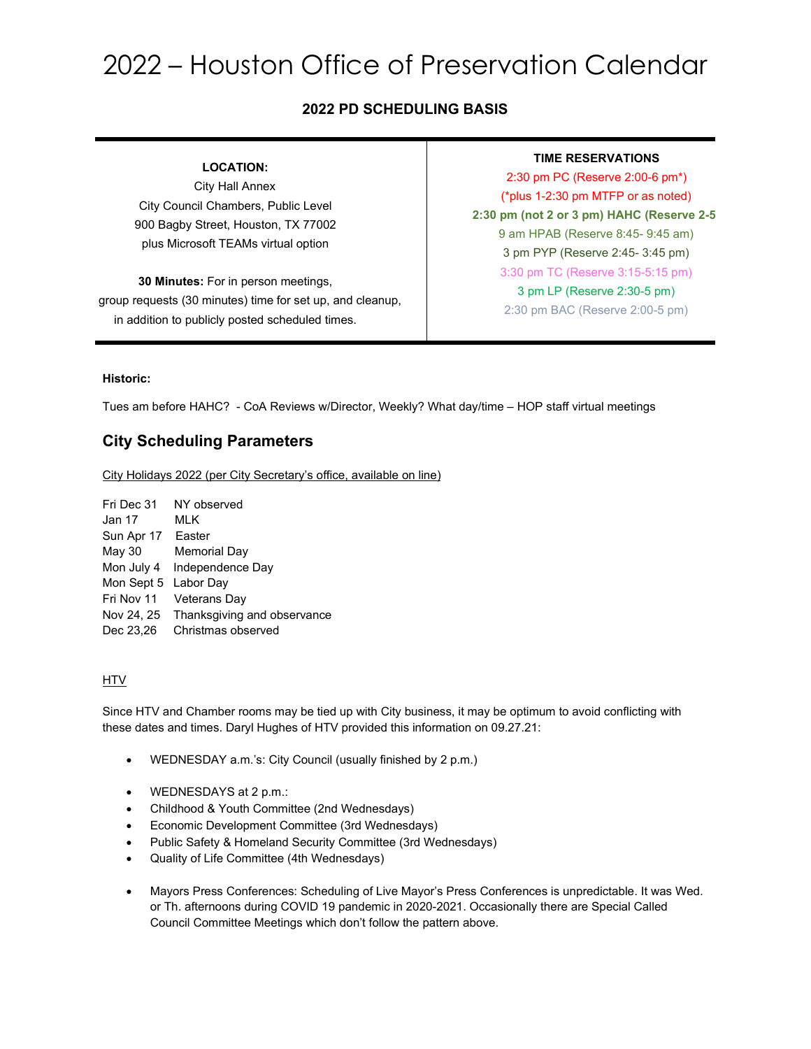# 2022 – Houston Office of Preservation Calendar

### **2022 PD SCHEDULING BASIS**

### **LOCATION:**

City Hall Annex City Council Chambers, Public Level 900 Bagby Street, Houston, TX 77002 plus Microsoft TEAMs virtual option

**30 Minutes:** For in person meetings, group requests (30 minutes) time for set up, and cleanup, in addition to publicly posted scheduled times.

### **TIME RESERVATIONS**

2:30 pm PC (Reserve 2:00-6 pm\*) (\*plus 1-2:30 pm MTFP or as noted) **2:30 pm (not 2 or 3 pm) HAHC (Reserve 2-5** 9 am HPAB (Reserve 8:45- 9:45 am) 3 pm PYP (Reserve 2:45- 3:45 pm) 3:30 pm TC (Reserve 3:15-5:15 pm) 3 pm LP (Reserve 2:30-5 pm) 2:30 pm BAC (Reserve 2:00-5 pm)

### **Historic:**

Tues am before HAHC? - CoA Reviews w/Director, Weekly? What day/time – HOP staff virtual meetings

### **City Scheduling Parameters**

City Holidays 2022 (per City Secretary's office, available on line)

Fri Dec 31 NY observed Jan 17 MLK Sun Apr 17 Easter May 30 Memorial Day Mon July 4 Independence Day Mon Sept 5 Labor Day Fri Nov 11 Veterans Day Nov 24, 25 Thanksgiving and observance Dec 23,26 Christmas observed

### **HTV**

Since HTV and Chamber rooms may be tied up with City business, it may be optimum to avoid conflicting with these dates and times. Daryl Hughes of HTV provided this information on 09.27.21:

- WEDNESDAY a.m.'s: City Council (usually finished by 2 p.m.)
- WEDNESDAYS at 2 p.m.:
- Childhood & Youth Committee (2nd Wednesdays)
- Economic Development Committee (3rd Wednesdays)
- Public Safety & Homeland Security Committee (3rd Wednesdays)
- Quality of Life Committee (4th Wednesdays)
- Mayors Press Conferences: Scheduling of Live Mayor's Press Conferences is unpredictable. It was Wed. or Th. afternoons during COVID 19 pandemic in 2020-2021. Occasionally there are Special Called Council Committee Meetings which don't follow the pattern above.